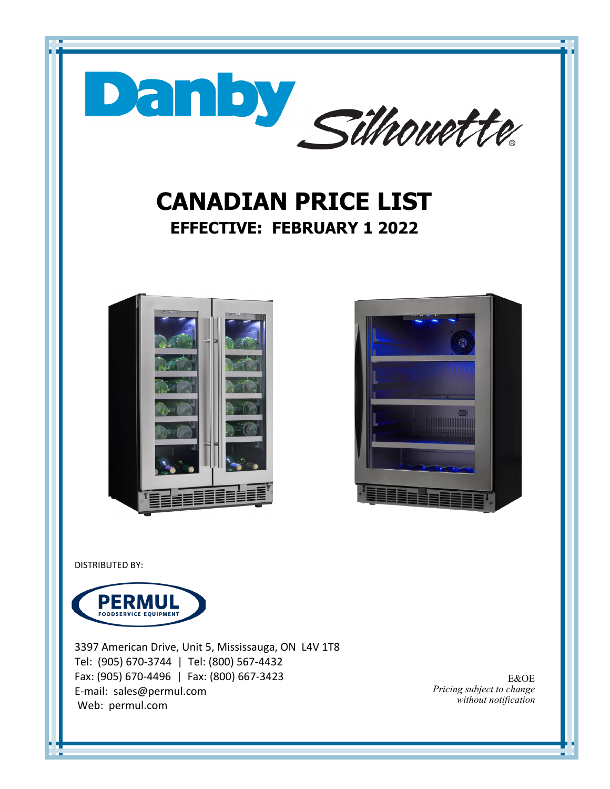

3397 American Drive, Unit 5, Mississauga, ON L4V 1T8 Tel: (905) 670-3744 | Tel: (800) 567-4432 Fax: (905) 670-4496 | Fax: (800) 667-3423 E-mail: sales@permul.com Web: permul.com

E&OE *Pricing subject to change without notification*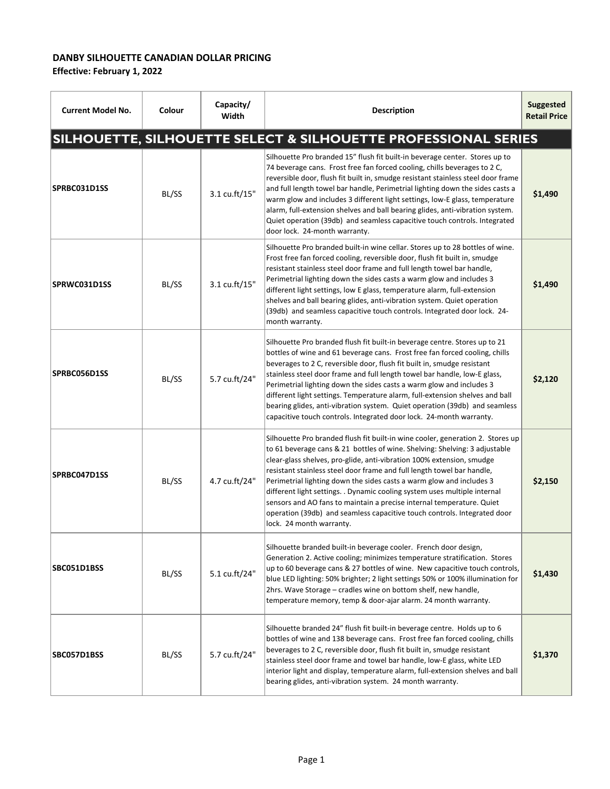## **DANBY SILHOUETTE CANADIAN DOLLAR PRICING**

**Effective: February 1, 2022**

| <b>Current Model No.</b> | Colour | Capacity/<br>Width | <b>Description</b>                                                                                                                                                                                                                                                                                                                                                                                                                                                                                                                                                                                                                                    | <b>Suggested</b><br><b>Retail Price</b> |
|--------------------------|--------|--------------------|-------------------------------------------------------------------------------------------------------------------------------------------------------------------------------------------------------------------------------------------------------------------------------------------------------------------------------------------------------------------------------------------------------------------------------------------------------------------------------------------------------------------------------------------------------------------------------------------------------------------------------------------------------|-----------------------------------------|
|                          |        |                    | SILHOUETTE, SILHOUETTE SELECT & SILHOUETTE PROFESSIONAL SERIES                                                                                                                                                                                                                                                                                                                                                                                                                                                                                                                                                                                        |                                         |
| SPRBC031D1SS             | BL/SS  | 3.1 cu.ft/15"      | Silhouette Pro branded 15" flush fit built-in beverage center. Stores up to<br>74 beverage cans. Frost free fan forced cooling, chills beverages to 2 C,<br>reversible door, flush fit built in, smudge resistant stainless steel door frame<br>and full length towel bar handle, Perimetrial lighting down the sides casts a<br>warm glow and includes 3 different light settings, low-E glass, temperature<br>alarm, full-extension shelves and ball bearing glides, anti-vibration system.<br>Quiet operation (39db) and seamless capacitive touch controls. Integrated<br>door lock. 24-month warranty.                                           | \$1,490                                 |
| SPRWC031D1SS             | BL/SS  | 3.1 cu.ft/15"      | Silhouette Pro branded built-in wine cellar. Stores up to 28 bottles of wine.<br>Frost free fan forced cooling, reversible door, flush fit built in, smudge<br>resistant stainless steel door frame and full length towel bar handle,<br>Perimetrial lighting down the sides casts a warm glow and includes 3<br>different light settings, low E glass, temperature alarm, full-extension<br>shelves and ball bearing glides, anti-vibration system. Quiet operation<br>(39db) and seamless capacitive touch controls. Integrated door lock. 24-<br>month warranty.                                                                                   | \$1,490                                 |
| SPRBC056D1SS             | BL/SS  | 5.7 cu.ft/24"      | Silhouette Pro branded flush fit built-in beverage centre. Stores up to 21<br>bottles of wine and 61 beverage cans. Frost free fan forced cooling, chills<br>beverages to 2 C, reversible door, flush fit built in, smudge resistant<br>stainless steel door frame and full length towel bar handle, low-E glass,<br>Perimetrial lighting down the sides casts a warm glow and includes 3<br>different light settings. Temperature alarm, full-extension shelves and ball<br>bearing glides, anti-vibration system. Quiet operation (39db) and seamless<br>capacitive touch controls. Integrated door lock. 24-month warranty.                        | \$2,120                                 |
| SPRBC047D1SS             | BL/SS  | 4.7 cu.ft/24"      | Silhouette Pro branded flush fit built-in wine cooler, generation 2. Stores up<br>to 61 beverage cans & 21 bottles of wine. Shelving: Shelving: 3 adjustable<br>clear-glass shelves, pro-glide, anti-vibration 100% extension, smudge<br>resistant stainless steel door frame and full length towel bar handle,<br>Perimetrial lighting down the sides casts a warm glow and includes 3<br>different light settings. . Dynamic cooling system uses multiple internal<br>sensors and AO fans to maintain a precise internal temperature. Quiet<br>operation (39db) and seamless capacitive touch controls. Integrated door<br>lock. 24 month warranty. | \$2.150                                 |
| SBC051D1BSS              | BL/SS  | 5.1 cu.ft/24"      | Silhouette branded built-in beverage cooler. French door design,<br>Generation 2. Active cooling; minimizes temperature stratification. Stores<br>up to 60 beverage cans & 27 bottles of wine. New capacitive touch controls,<br>blue LED lighting: 50% brighter; 2 light settings 50% or 100% illumination for<br>2hrs. Wave Storage - cradles wine on bottom shelf, new handle,<br>temperature memory, temp & door-ajar alarm. 24 month warranty.                                                                                                                                                                                                   | \$1,430                                 |
| SBC057D1BSS              | BL/SS  | 5.7 cu.ft/24"      | Silhouette branded 24" flush fit built-in beverage centre. Holds up to 6<br>bottles of wine and 138 beverage cans. Frost free fan forced cooling, chills<br>beverages to 2 C, reversible door, flush fit built in, smudge resistant<br>stainless steel door frame and towel bar handle, low-E glass, white LED<br>interior light and display, temperature alarm, full-extension shelves and ball<br>bearing glides, anti-vibration system. 24 month warranty.                                                                                                                                                                                         | \$1,370                                 |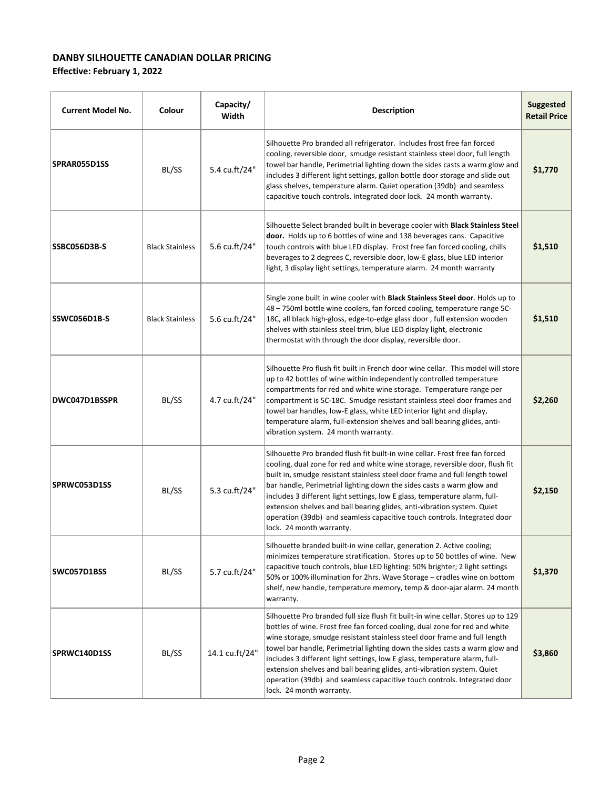## **DANBY SILHOUETTE CANADIAN DOLLAR PRICING**

**Effective: February 1, 2022**

| <b>Current Model No.</b> | Colour                 | Capacity/<br>Width | <b>Description</b>                                                                                                                                                                                                                                                                                                                                                                                                                                                                                                                                                                            | <b>Suggested</b><br><b>Retail Price</b> |
|--------------------------|------------------------|--------------------|-----------------------------------------------------------------------------------------------------------------------------------------------------------------------------------------------------------------------------------------------------------------------------------------------------------------------------------------------------------------------------------------------------------------------------------------------------------------------------------------------------------------------------------------------------------------------------------------------|-----------------------------------------|
| SPRAR055D1SS             | BL/SS                  | 5.4 cu.ft/24"      | Silhouette Pro branded all refrigerator. Includes frost free fan forced<br>cooling, reversible door, smudge resistant stainless steel door, full length<br>towel bar handle, Perimetrial lighting down the sides casts a warm glow and<br>includes 3 different light settings, gallon bottle door storage and slide out<br>glass shelves, temperature alarm. Quiet operation (39db) and seamless<br>capacitive touch controls. Integrated door lock. 24 month warranty.                                                                                                                       | \$1,770                                 |
| SSBC056D3B-S             | <b>Black Stainless</b> | 5.6 cu.ft/24"      | Silhouette Select branded built in beverage cooler with Black Stainless Steel<br>door. Holds up to 6 bottles of wine and 138 beverages cans. Capacitive<br>touch controls with blue LED display. Frost free fan forced cooling, chills<br>beverages to 2 degrees C, reversible door, low-E glass, blue LED interior<br>light, 3 display light settings, temperature alarm. 24 month warranty                                                                                                                                                                                                  | \$1,510                                 |
| SSWC056D1B-S             | <b>Black Stainless</b> | 5.6 cu.ft/24"      | Single zone built in wine cooler with Black Stainless Steel door. Holds up to<br>48 - 750ml bottle wine coolers, fan forced cooling, temperature range 5C-<br>18C, all black high-gloss, edge-to-edge glass door, full extension wooden<br>shelves with stainless steel trim, blue LED display light, electronic<br>thermostat with through the door display, reversible door.                                                                                                                                                                                                                | \$1,510                                 |
| DWC047D1BSSPR            | BL/SS                  | 4.7 cu.ft/24"      | Silhouette Pro flush fit built in French door wine cellar. This model will store<br>up to 42 bottles of wine within independently controlled temperature<br>compartments for red and white wine storage. Temperature range per<br>compartment is 5C-18C. Smudge resistant stainless steel door frames and<br>towel bar handles, low-E glass, white LED interior light and display,<br>temperature alarm, full-extension shelves and ball bearing glides, anti-<br>vibration system. 24 month warranty.                                                                                        | \$2,260                                 |
| SPRWC053D1SS             | BL/SS                  | 5.3 cu.ft/24"      | Silhouette Pro branded flush fit built-in wine cellar. Frost free fan forced<br>cooling, dual zone for red and white wine storage, reversible door, flush fit<br>built in, smudge resistant stainless steel door frame and full length towel<br>bar handle, Perimetrial lighting down the sides casts a warm glow and<br>includes 3 different light settings, low E glass, temperature alarm, full-<br>extension shelves and ball bearing glides, anti-vibration system. Quiet<br>operation (39db) and seamless capacitive touch controls. Integrated door<br>lock. 24 month warranty.        | \$2,150                                 |
| SWC057D1BSS              | BL/SS                  | 5.7 cu.ft/24"      | Silhouette branded built-in wine cellar, generation 2. Active cooling;<br>minimizes temperature stratification. Stores up to 50 bottles of wine. New<br>capacitive touch controls, blue LED lighting: 50% brighter; 2 light settings<br>50% or 100% illumination for 2hrs. Wave Storage - cradles wine on bottom<br>shelf, new handle, temperature memory, temp & door-ajar alarm. 24 month<br>warranty.                                                                                                                                                                                      | \$1,370                                 |
| SPRWC140D1SS             | BL/SS                  | 14.1 cu.ft/24"     | Silhouette Pro branded full size flush fit built-in wine cellar. Stores up to 129<br>bottles of wine. Frost free fan forced cooling, dual zone for red and white<br>wine storage, smudge resistant stainless steel door frame and full length<br>towel bar handle, Perimetrial lighting down the sides casts a warm glow and<br>includes 3 different light settings, low E glass, temperature alarm, full-<br>extension shelves and ball bearing glides, anti-vibration system. Quiet<br>operation (39db) and seamless capacitive touch controls. Integrated door<br>lock. 24 month warranty. | \$3,860                                 |